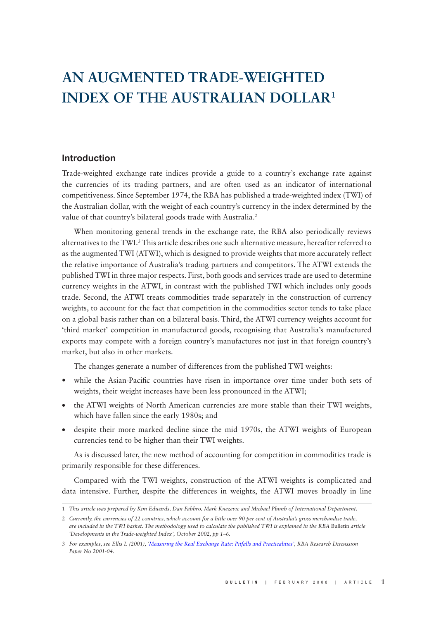# **AN AUGMENTED TRADE-WEIGHTED INDEX OF THE AUSTRALIAN DOLLAR1**

## **Introduction**

Trade-weighted exchange rate indices provide a guide to a country's exchange rate against the currencies of its trading partners, and are often used as an indicator of international competitiveness. Since September 1974, the RBA has published a trade-weighted index (TWI) of the Australian dollar, with the weight of each country's currency in the index determined by the value of that country's bilateral goods trade with Australia.<sup>2</sup>

When monitoring general trends in the exchange rate, the RBA also periodically reviews alternatives to the TWI.<sup>3</sup> This article describes one such alternative measure, hereafter referred to as the augmented TWI (ATWI), which is designed to provide weights that more accurately reflect the relative importance of Australia's trading partners and competitors. The ATWI extends the published TWI in three major respects. First, both goods and services trade are used to determine currency weights in the ATWI, in contrast with the published TWI which includes only goods trade. Second, the ATWI treats commodities trade separately in the construction of currency weights, to account for the fact that competition in the commodities sector tends to take place on a global basis rather than on a bilateral basis. Third, the ATWI currency weights account for 'third market' competition in manufactured goods, recognising that Australia's manufactured exports may compete with a foreign country's manufactures not just in that foreign country's market, but also in other markets.

The changes generate a number of differences from the published TWI weights:

- while the Asian-Pacific countries have risen in importance over time under both sets of weights, their weight increases have been less pronounced in the ATWI;
- the ATWI weights of North American currencies are more stable than their TWI weights, which have fallen since the early 1980s; and
- despite their more marked decline since the mid 1970s, the ATWI weights of European currencies tend to be higher than their TWI weights.

As is discussed later, the new method of accounting for competition in commodities trade is primarily responsible for these differences.

Compared with the TWI weights, construction of the ATWI weights is complicated and data intensive. Further, despite the differences in weights, the ATWI moves broadly in line

<sup>1</sup> *This article was prepared by Kim Edwards, Dan Fabbro, Mark Knezevic and Michael Plumb of International Department.*

<sup>2</sup> *Currently, the currencies of 22 countries, which account for a little over 90 per cent of Australia's gross merchandise trade, are included in the TWI basket. The methodology used to calculate the published TWI is explained in the RBA* Bulletin *article 'Developments in the Trade-weighted Index', October 2002, pp 1–6.*

<sup>3</sup> *For examples, see Ellis L (2001), ['Measuring the Real Exchange Rate: Pitfalls and Practicalities](http://www.rba.gov.au/PublicationsAndResearch/RDP/RDP2001-04.html)', RBA Research Discussion Paper No 2001-04.*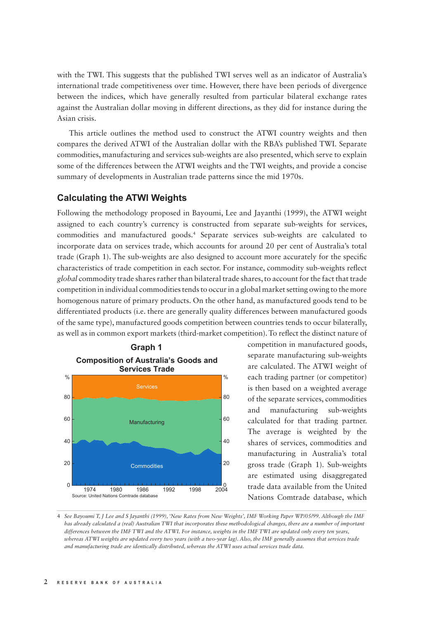with the TWI. This suggests that the published TWI serves well as an indicator of Australia's international trade competitiveness over time. However, there have been periods of divergence between the indices, which have generally resulted from particular bilateral exchange rates against the Australian dollar moving in different directions, as they did for instance during the Asian crisis.

This article outlines the method used to construct the ATWI country weights and then compares the derived ATWI of the Australian dollar with the RBA's published TWI. Separate commodities, manufacturing and services sub-weights are also presented, which serve to explain some of the differences between the ATWI weights and the TWI weights, and provide a concise summary of developments in Australian trade patterns since the mid 1970s.

#### **Calculating the ATWI Weights**

Following the methodology proposed in Bayoumi, Lee and Jayanthi (1999), the ATWI weight assigned to each country's currency is constructed from separate sub-weights for services, commodities and manufactured goods.4 Separate services sub-weights are calculated to incorporate data on services trade, which accounts for around 20 per cent of Australia's total trade (Graph 1). The sub-weights are also designed to account more accurately for the specific characteristics of trade competition in each sector. For instance, commodity sub-weights reflect *global* commodity trade shares rather than bilateral trade shares, to account for the fact that trade competition in individual commodities tends to occur in a global market setting owing to the more homogenous nature of primary products. On the other hand, as manufactured goods tend to be differentiated products (i.e. there are generally quality differences between manufactured goods of the same type), manufactured goods competition between countries tends to occur bilaterally, as well as in common export markets (third-market competition). To reflect the distinct nature of



competition in manufactured goods, separate manufacturing sub-weights are calculated. The ATWI weight of each trading partner (or competitor) is then based on a weighted average of the separate services, commodities and manufacturing sub-weights calculated for that trading partner. The average is weighted by the shares of services, commodities and manufacturing in Australia's total gross trade (Graph 1). Sub-weights are estimated using disaggregated trade data available from the United Nations Comtrade database, which

<sup>4</sup> *See Bayoumi T, J Lee and S Jayanthi (1999), 'New Rates from New Weights', IMF Working Paper WP/05/99. Although the IMF has already calculated a (real) Australian TWI that incorporates these methodological changes, there are a number of important differences between the IMF TWI and the ATWI. For instance, weights in the IMF TWI are updated only every ten years, whereas ATWI weights are updated every two years (with a two-year lag). Also, the IMF generally assumes that services trade and manufacturing trade are identically distributed, whereas the ATWI uses actual services trade data.*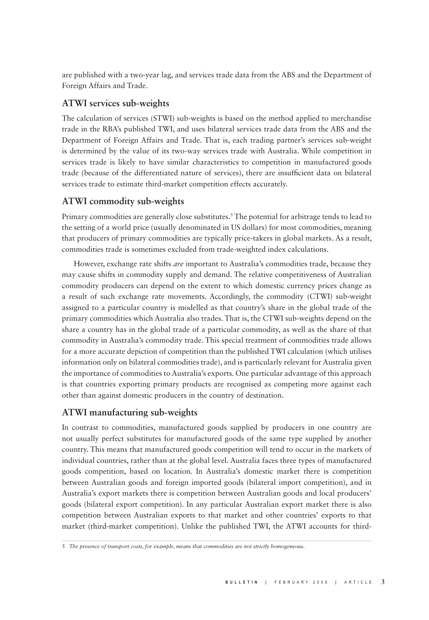are published with a two-year lag, and services trade data from the ABS and the Department of Foreign Affairs and Trade.

## **ATWI services sub-weights**

The calculation of services (STWI) sub-weights is based on the method applied to merchandise trade in the RBA's published TWI, and uses bilateral services trade data from the ABS and the Department of Foreign Affairs and Trade. That is, each trading partner's services sub-weight is determined by the value of its two-way services trade with Australia. While competition in services trade is likely to have similar characteristics to competition in manufactured goods trade (because of the differentiated nature of services), there are insufficient data on bilateral services trade to estimate third-market competition effects accurately.

# **ATWI commodity sub-weights**

Primary commodities are generally close substitutes.5 The potential for arbitrage tends to lead to the setting of a world price (usually denominated in US dollars) for most commodities, meaning that producers of primary commodities are typically price-takers in global markets. As a result, commodities trade is sometimes excluded from trade-weighted index calculations.

However, exchange rate shifts *are* important to Australia's commodities trade, because they may cause shifts in commodity supply and demand. The relative competitiveness of Australian commodity producers can depend on the extent to which domestic currency prices change as a result of such exchange rate movements. Accordingly, the commodity (CTWI) sub-weight assigned to a particular country is modelled as that country's share in the global trade of the primary commodities which Australia also trades. That is, the CTWI sub-weights depend on the share a country has in the global trade of a particular commodity, as well as the share of that commodity in Australia's commodity trade. This special treatment of commodities trade allows for a more accurate depiction of competition than the published TWI calculation (which utilises information only on bilateral commodities trade), and is particularly relevant for Australia given the importance of commodities to Australia's exports. One particular advantage of this approach is that countries exporting primary products are recognised as competing more against each other than against domestic producers in the country of destination.

# **ATWI manufacturing sub-weights**

In contrast to commodities, manufactured goods supplied by producers in one country are not usually perfect substitutes for manufactured goods of the same type supplied by another country. This means that manufactured goods competition will tend to occur in the markets of individual countries, rather than at the global level. Australia faces three types of manufactured goods competition, based on location. In Australia's domestic market there is competition between Australian goods and foreign imported goods (bilateral import competition), and in Australia's export markets there is competition between Australian goods and local producers' goods (bilateral export competition). In any particular Australian export market there is also competition between Australian exports to that market and other countries' exports to that market (third-market competition). Unlike the published TWI, the ATWI accounts for third-

<sup>5</sup> *The presence of transport costs, for example, means that commodities are not strictly homogeneous.*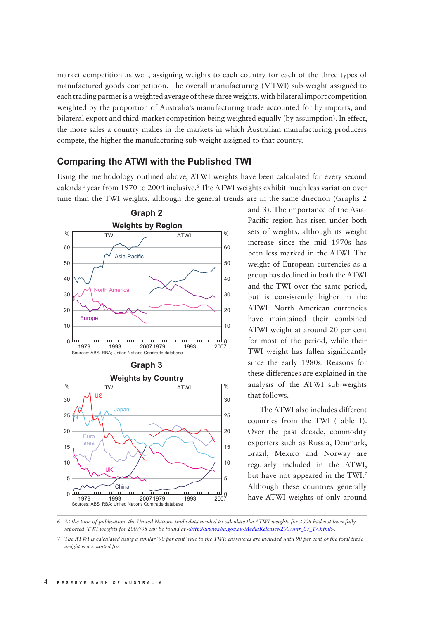market competition as well, assigning weights to each country for each of the three types of manufactured goods competition. The overall manufacturing (MTWI) sub-weight assigned to each trading partner is a weighted average of these three weights, with bilateral import competition weighted by the proportion of Australia's manufacturing trade accounted for by imports, and bilateral export and third-market competition being weighted equally (by assumption). In effect, the more sales a country makes in the markets in which Australian manufacturing producers compete, the higher the manufacturing sub-weight assigned to that country.

### **Comparing the ATWI with the Published TWI**

Using the methodology outlined above, ATWI weights have been calculated for every second calendar year from 1970 to 2004 inclusive.6 The ATWI weights exhibit much less variation over time than the TWI weights, although the general trends are in the same direction (Graphs 2



and 3). The importance of the Asia-Pacific region has risen under both sets of weights, although its weight increase since the mid 1970s has been less marked in the ATWI. The weight of European currencies as a group has declined in both the ATWI and the TWI over the same period, but is consistently higher in the ATWI. North American currencies have maintained their combined ATWI weight at around 20 per cent for most of the period, while their TWI weight has fallen significantly since the early 1980s. Reasons for these differences are explained in the analysis of the ATWI sub-weights that follows.

The ATWI also includes different countries from the TWI (Table 1). Over the past decade, commodity exporters such as Russia, Denmark, Brazil, Mexico and Norway are regularly included in the ATWI, but have not appeared in the TWI.7 Although these countries generally have ATWI weights of only around

6 *At the time of publication, the United Nations trade data needed to calculate the ATWI weights for 2006 had not been fully reported. TWI weights for 2007/08 can be found at <http://www.rba.gov.au/MediaReleases/2007/mr\_07\_17.html>.*

7 *The ATWI is calculated using a similar '90 per cent' rule to the TWI: currencies are included until 90 per cent of the total trade weight is accounted for.*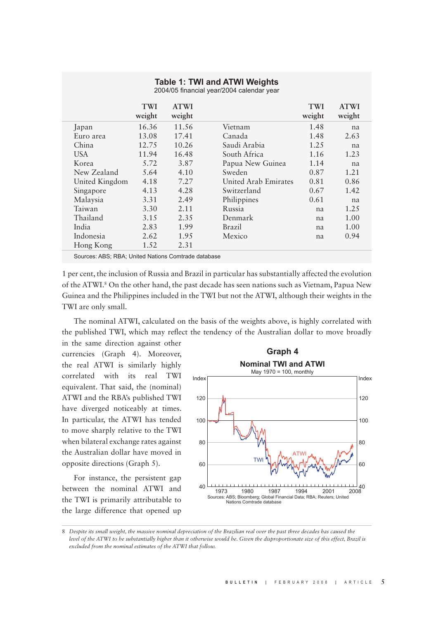#### **Table 1: TWI and ATWI Weights**

2004/05 financial year/2004 calendar year

|                                                      | <b>TWI</b><br>weight | <b>ATWI</b><br>weight |                      | <b>TWI</b><br>weight | <b>ATWI</b><br>weight |
|------------------------------------------------------|----------------------|-----------------------|----------------------|----------------------|-----------------------|
| Japan                                                | 16.36                | 11.56                 | Vietnam              | 1.48                 | na                    |
| Euro area                                            | 13.08                | 17.41                 | Canada               | 1.48                 | 2.63                  |
| China                                                | 12.75                | 10.26                 | Saudi Arabia         | 1.25                 | na                    |
| <b>USA</b>                                           | 11.94                | 16.48                 | South Africa         | 1.16                 | 1.23                  |
| Korea                                                | 5.72                 | 3.87                  | Papua New Guinea     | 1.14                 | na                    |
| New Zealand                                          | 5.64                 | 4.10                  | Sweden               | 0.87                 | 1.21                  |
| United Kingdom                                       | 4.18                 | 7.27                  | United Arab Emirates | 0.81                 | 0.86                  |
| Singapore                                            | 4.13                 | 4.28                  | Switzerland          | 0.67                 | 1.42                  |
| Malaysia                                             | 3.31                 | 2.49                  | Philippines          | 0.61                 | na                    |
| Taiwan                                               | 3.30                 | 2.11                  | Russia               | na                   | 1.25                  |
| Thailand                                             | 3.15                 | 2.35                  | Denmark              | na                   | 1.00                  |
| India                                                | 2.83                 | 1.99                  | Brazil               | na                   | 1.00                  |
| Indonesia                                            | 2.62                 | 1.95                  | Mexico               | na                   | 0.94                  |
| Hong Kong                                            | 1.52                 | 2.31                  |                      |                      |                       |
| Courses ADC: DDA: Hallad Matings Constructs detailed |                      |                       |                      |                      |                       |

Sources: ABS; RBA; United Nations Comtrade database

1 per cent, the inclusion of Russia and Brazil in particular has substantially affected the evolution of the ATWI.<sup>8</sup> On the other hand, the past decade has seen nations such as Vietnam, Papua New Guinea and the Philippines included in the TWI but not the ATWI, although their weights in the TWI are only small.

The nominal ATWI, calculated on the basis of the weights above, is highly correlated with the published TWI, which may reflect the tendency of the Australian dollar to move broadly

in the same direction against other currencies (Graph 4). Moreover, the real ATWI is similarly highly correlated with its real TWI equivalent. That said, the (nominal) ATWI and the RBA's published TWI have diverged noticeably at times. In particular, the ATWI has tended to move sharply relative to the TWI when bilateral exchange rates against the Australian dollar have moved in opposite directions (Graph 5).

For instance, the persistent gap between the nominal ATWI and the TWI is primarily attributable to the large difference that opened up



8 *Despite its small weight, the massive nominal depreciation of the Brazilian real over the past three decades has caused the level of the ATWI to be substantially higher than it otherwise would be. Given the disproportionate size of this effect, Brazil is excluded from the nominal estimates of the ATWI that follow.*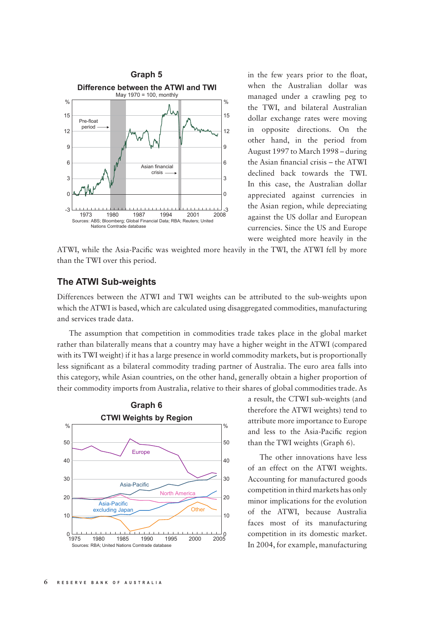

in the few years prior to the float, when the Australian dollar was managed under a crawling peg to the TWI, and bilateral Australian dollar exchange rates were moving in opposite directions. On the other hand, in the period from August 1997 to March 1998 – during the Asian financial crisis – the ATWI declined back towards the TWI. In this case, the Australian dollar appreciated against currencies in the Asian region, while depreciating against the US dollar and European currencies. Since the US and Europe were weighted more heavily in the

ATWI, while the Asia-Pacific was weighted more heavily in the TWI, the ATWI fell by more than the TWI over this period.

## **The ATWI Sub-weights**

Differences between the ATWI and TWI weights can be attributed to the sub-weights upon which the ATWI is based, which are calculated using disaggregated commodities, manufacturing and services trade data.

The assumption that competition in commodities trade takes place in the global market rather than bilaterally means that a country may have a higher weight in the ATWI (compared with its TWI weight) if it has a large presence in world commodity markets, but is proportionally less significant as a bilateral commodity trading partner of Australia. The euro area falls into this category, while Asian countries, on the other hand, generally obtain a higher proportion of their commodity imports from Australia, relative to their shares of global commodities trade. As



a result, the CTWI sub-weights (and therefore the ATWI weights) tend to attribute more importance to Europe and less to the Asia-Pacific region than the TWI weights (Graph 6).

The other innovations have less of an effect on the ATWI weights. Accounting for manufactured goods competition in third markets has only minor implications for the evolution of the ATWI, because Australia faces most of its manufacturing competition in its domestic market. In 2004, for example, manufacturing